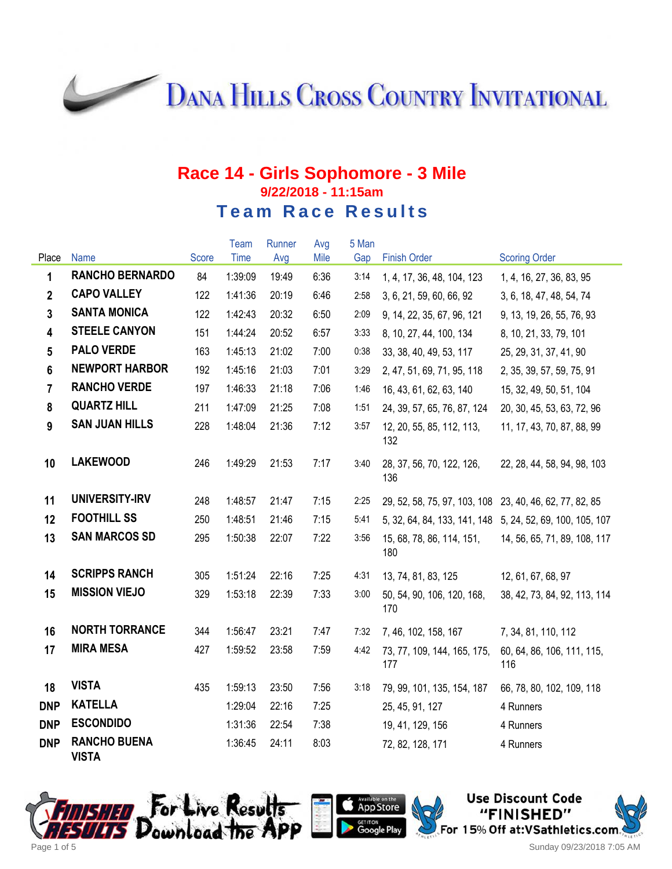**DANA HILLS CROSS COUNTRY INVITATIONAL** 

#### **Race 14 - Girls Sophomore - 3 Mile 9/22/2018 - 11:15am Team Race Results**

|                 |                                     |       | Team    | Runner | Avg  | 5 Man |                                                         |                                                           |
|-----------------|-------------------------------------|-------|---------|--------|------|-------|---------------------------------------------------------|-----------------------------------------------------------|
| Place           | <b>Name</b>                         | Score | Time    | Avg    | Mile | Gap   | <b>Finish Order</b>                                     | <b>Scoring Order</b>                                      |
| 1               | <b>RANCHO BERNARDO</b>              | 84    | 1:39:09 | 19:49  | 6:36 | 3:14  | 1, 4, 17, 36, 48, 104, 123                              | 1, 4, 16, 27, 36, 83, 95                                  |
| $\mathbf{2}$    | <b>CAPO VALLEY</b>                  | 122   | 1:41:36 | 20:19  | 6:46 | 2:58  | 3, 6, 21, 59, 60, 66, 92                                | 3, 6, 18, 47, 48, 54, 74                                  |
| $\overline{3}$  | <b>SANTA MONICA</b>                 | 122   | 1:42:43 | 20:32  | 6:50 | 2:09  | 9, 14, 22, 35, 67, 96, 121                              | 9, 13, 19, 26, 55, 76, 93                                 |
| 4               | <b>STEELE CANYON</b>                | 151   | 1:44:24 | 20:52  | 6:57 | 3:33  | 8, 10, 27, 44, 100, 134                                 | 8, 10, 21, 33, 79, 101                                    |
| $5\phantom{.0}$ | <b>PALO VERDE</b>                   | 163   | 1:45:13 | 21:02  | 7:00 | 0:38  | 33, 38, 40, 49, 53, 117                                 | 25, 29, 31, 37, 41, 90                                    |
| 6               | <b>NEWPORT HARBOR</b>               | 192   | 1:45:16 | 21:03  | 7:01 | 3:29  | 2, 47, 51, 69, 71, 95, 118                              | 2, 35, 39, 57, 59, 75, 91                                 |
| $\overline{7}$  | <b>RANCHO VERDE</b>                 | 197   | 1:46:33 | 21:18  | 7:06 | 1:46  | 16, 43, 61, 62, 63, 140                                 | 15, 32, 49, 50, 51, 104                                   |
| 8               | <b>QUARTZ HILL</b>                  | 211   | 1:47:09 | 21:25  | 7:08 | 1:51  | 24, 39, 57, 65, 76, 87, 124                             | 20, 30, 45, 53, 63, 72, 96                                |
| 9               | <b>SAN JUAN HILLS</b>               | 228   | 1:48:04 | 21:36  | 7:12 | 3:57  | 12, 20, 55, 85, 112, 113,<br>132                        | 11, 17, 43, 70, 87, 88, 99                                |
| 10              | <b>LAKEWOOD</b>                     | 246   | 1:49:29 | 21:53  | 7:17 | 3:40  | 28, 37, 56, 70, 122, 126,<br>136                        | 22, 28, 44, 58, 94, 98, 103                               |
| 11              | UNIVERSITY-IRV                      | 248   | 1:48:57 | 21:47  | 7:15 | 2:25  | 29, 52, 58, 75, 97, 103, 108 23, 40, 46, 62, 77, 82, 85 |                                                           |
| 12              | <b>FOOTHILL SS</b>                  | 250   | 1:48:51 | 21:46  | 7:15 | 5:41  |                                                         | 5, 32, 64, 84, 133, 141, 148 5, 24, 52, 69, 100, 105, 107 |
| 13              | <b>SAN MARCOS SD</b>                | 295   | 1:50:38 | 22:07  | 7:22 | 3:56  | 15, 68, 78, 86, 114, 151,<br>180                        | 14, 56, 65, 71, 89, 108, 117                              |
| 14              | <b>SCRIPPS RANCH</b>                | 305   | 1:51:24 | 22:16  | 7:25 | 4:31  | 13, 74, 81, 83, 125                                     | 12, 61, 67, 68, 97                                        |
| 15              | <b>MISSION VIEJO</b>                | 329   | 1:53:18 | 22:39  | 7:33 | 3:00  | 50, 54, 90, 106, 120, 168,<br>170                       | 38, 42, 73, 84, 92, 113, 114                              |
| 16              | <b>NORTH TORRANCE</b>               | 344   | 1:56:47 | 23:21  | 7:47 | 7:32  | 7, 46, 102, 158, 167                                    | 7, 34, 81, 110, 112                                       |
| 17              | <b>MIRA MESA</b>                    | 427   | 1:59:52 | 23:58  | 7:59 | 4:42  | 73, 77, 109, 144, 165, 175,<br>177                      | 60, 64, 86, 106, 111, 115,<br>116                         |
| 18              | <b>VISTA</b>                        | 435   | 1:59:13 | 23:50  | 7:56 | 3:18  | 79, 99, 101, 135, 154, 187                              | 66, 78, 80, 102, 109, 118                                 |
| <b>DNP</b>      | <b>KATELLA</b>                      |       | 1:29:04 | 22:16  | 7:25 |       | 25, 45, 91, 127                                         | 4 Runners                                                 |
| <b>DNP</b>      | <b>ESCONDIDO</b>                    |       | 1:31:36 | 22:54  | 7:38 |       | 19, 41, 129, 156                                        | 4 Runners                                                 |
| <b>DNP</b>      | <b>RANCHO BUENA</b><br><b>VISTA</b> |       | 1:36:45 | 24:11  | 8:03 |       | 72, 82, 128, 171                                        | 4 Runners                                                 |

Google Play



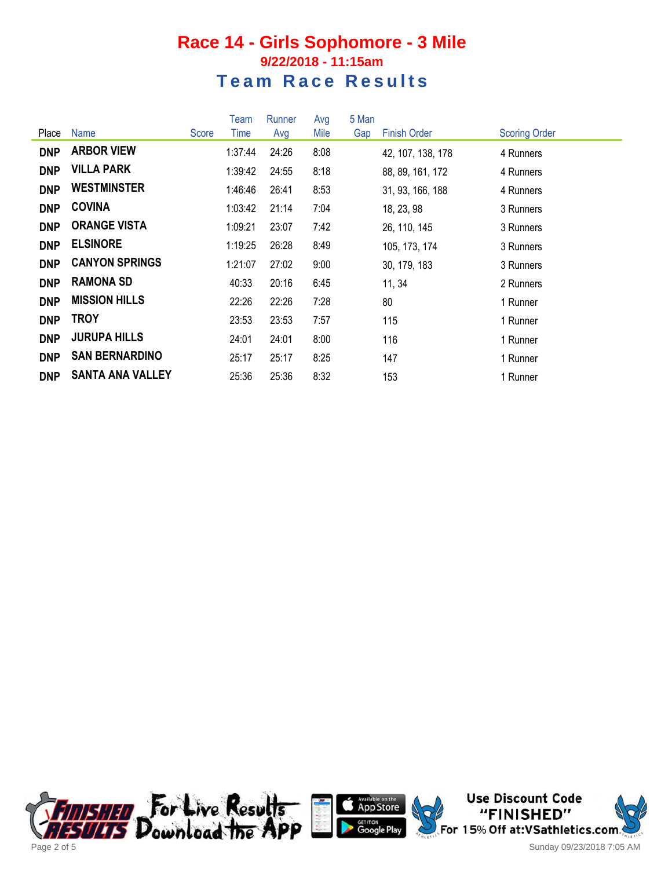### **Race 14 - Girls Sophomore - 3 Mile 9/22/2018 - 11:15am Team Race Results**

|            |                         |       | Team    | Runner | Avg  | 5 Man |                     |                      |
|------------|-------------------------|-------|---------|--------|------|-------|---------------------|----------------------|
| Place      | <b>Name</b>             | Score | Time    | Avg    | Mile | Gap   | <b>Finish Order</b> | <b>Scoring Order</b> |
| <b>DNP</b> | <b>ARBOR VIEW</b>       |       | 1:37:44 | 24:26  | 8:08 |       | 42, 107, 138, 178   | 4 Runners            |
| <b>DNP</b> | <b>VILLA PARK</b>       |       | 1:39:42 | 24:55  | 8:18 |       | 88, 89, 161, 172    | 4 Runners            |
| <b>DNP</b> | <b>WESTMINSTER</b>      |       | 1:46:46 | 26:41  | 8:53 |       | 31, 93, 166, 188    | 4 Runners            |
| <b>DNP</b> | <b>COVINA</b>           |       | 1:03:42 | 21:14  | 7:04 |       | 18, 23, 98          | 3 Runners            |
| <b>DNP</b> | <b>ORANGE VISTA</b>     |       | 1:09:21 | 23:07  | 7:42 |       | 26, 110, 145        | 3 Runners            |
| <b>DNP</b> | <b>ELSINORE</b>         |       | 1:19:25 | 26:28  | 8:49 |       | 105, 173, 174       | 3 Runners            |
| <b>DNP</b> | <b>CANYON SPRINGS</b>   |       | 1:21:07 | 27:02  | 9:00 |       | 30, 179, 183        | 3 Runners            |
| <b>DNP</b> | <b>RAMONA SD</b>        |       | 40:33   | 20:16  | 6:45 |       | 11, 34              | 2 Runners            |
| <b>DNP</b> | <b>MISSION HILLS</b>    |       | 22:26   | 22:26  | 7:28 |       | 80                  | 1 Runner             |
| <b>DNP</b> | <b>TROY</b>             |       | 23:53   | 23:53  | 7:57 |       | 115                 | 1 Runner             |
| <b>DNP</b> | <b>JURUPA HILLS</b>     |       | 24:01   | 24:01  | 8:00 |       | 116                 | 1 Runner             |
| <b>DNP</b> | <b>SAN BERNARDINO</b>   |       | 25:17   | 25:17  | 8:25 |       | 147                 | 1 Runner             |
| <b>DNP</b> | <b>SANTA ANA VALLEY</b> |       | 25:36   | 25:36  | 8:32 |       | 153                 | 1 Runner             |





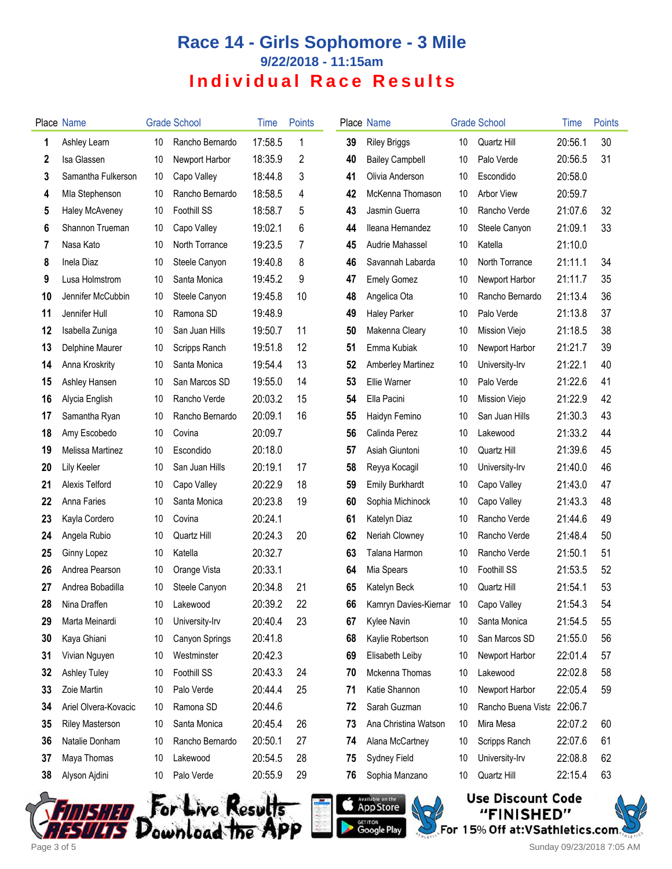# **Race 14 - Girls Sophomore - 3 Mile 9/22/2018 - 11:15am Individual Race Results**

|    | Place Name             |    | <b>Grade School</b> | Time    | <b>Points</b> |    | Place Name                           |    | <b>Grade School</b> | Time    | Points |
|----|------------------------|----|---------------------|---------|---------------|----|--------------------------------------|----|---------------------|---------|--------|
| 1  | Ashley Learn           | 10 | Rancho Bernardo     | 17:58.5 | 1             | 39 | <b>Riley Briggs</b>                  | 10 | Quartz Hill         | 20:56.1 | 30     |
| 2  | Isa Glassen            | 10 | Newport Harbor      | 18:35.9 | 2             | 40 | <b>Bailey Campbell</b>               | 10 | Palo Verde          | 20:56.5 | 31     |
| 3  | Samantha Fulkerson     | 10 | Capo Valley         | 18:44.8 | 3             | 41 | Olivia Anderson                      | 10 | Escondido           | 20:58.0 |        |
| 4  | Mla Stephenson         | 10 | Rancho Bernardo     | 18:58.5 | 4             | 42 | McKenna Thomason                     | 10 | <b>Arbor View</b>   | 20:59.7 |        |
| 5  | Haley McAveney         | 10 | Foothill SS         | 18:58.7 | 5             | 43 | Jasmin Guerra                        | 10 | Rancho Verde        | 21:07.6 | 32     |
| 6  | Shannon Trueman        | 10 | Capo Valley         | 19:02.1 | 6             | 44 | Ileana Hernandez                     | 10 | Steele Canyon       | 21:09.1 | 33     |
| 7  | Nasa Kato              | 10 | North Torrance      | 19:23.5 | 7             | 45 | Audrie Mahassel                      | 10 | Katella             | 21:10.0 |        |
| 8  | Inela Diaz             | 10 | Steele Canyon       | 19:40.8 | 8             | 46 | Savannah Labarda                     | 10 | North Torrance      | 21:11.1 | 34     |
| 9  | Lusa Holmstrom         | 10 | Santa Monica        | 19:45.2 | 9             | 47 | <b>Emely Gomez</b>                   | 10 | Newport Harbor      | 21:11.7 | 35     |
| 10 | Jennifer McCubbin      | 10 | Steele Canyon       | 19:45.8 | 10            | 48 | Angelica Ota                         | 10 | Rancho Bernardo     | 21:13.4 | 36     |
| 11 | Jennifer Hull          | 10 | Ramona SD           | 19:48.9 |               | 49 | <b>Haley Parker</b>                  | 10 | Palo Verde          | 21:13.8 | 37     |
| 12 | Isabella Zuniga        | 10 | San Juan Hills      | 19:50.7 | 11            | 50 | Makenna Cleary                       | 10 | Mission Viejo       | 21:18.5 | 38     |
| 13 | Delphine Maurer        | 10 | Scripps Ranch       | 19:51.8 | 12            | 51 | Emma Kubiak                          | 10 | Newport Harbor      | 21:21.7 | 39     |
| 14 | Anna Kroskrity         | 10 | Santa Monica        | 19:54.4 | 13            | 52 | <b>Amberley Martinez</b>             | 10 | University-Irv      | 21:22.1 | 40     |
| 15 | Ashley Hansen          | 10 | San Marcos SD       | 19:55.0 | 14            | 53 | Ellie Warner                         | 10 | Palo Verde          | 21:22.6 | 41     |
| 16 | Alycia English         | 10 | Rancho Verde        | 20:03.2 | 15            | 54 | Ella Pacini                          | 10 | Mission Viejo       | 21:22.9 | 42     |
| 17 | Samantha Ryan          | 10 | Rancho Bernardo     | 20:09.1 | 16            | 55 | Haidyn Femino                        | 10 | San Juan Hills      | 21:30.3 | 43     |
| 18 | Amy Escobedo           | 10 | Covina              | 20:09.7 |               | 56 | Calinda Perez                        | 10 | Lakewood            | 21:33.2 | 44     |
| 19 | Melissa Martinez       | 10 | Escondido           | 20:18.0 |               | 57 | Asiah Giuntoni                       | 10 | Quartz Hill         | 21:39.6 | 45     |
| 20 | Lily Keeler            | 10 | San Juan Hills      | 20:19.1 | 17            | 58 | Reyya Kocagil                        | 10 | University-Irv      | 21:40.0 | 46     |
| 21 | Alexis Telford         | 10 | Capo Valley         | 20:22.9 | 18            | 59 | <b>Emily Burkhardt</b>               | 10 | Capo Valley         | 21:43.0 | 47     |
| 22 | Anna Faries            | 10 | Santa Monica        | 20:23.8 | 19            | 60 | Sophia Michinock                     | 10 | Capo Valley         | 21:43.3 | 48     |
| 23 | Kayla Cordero          | 10 | Covina              | 20:24.1 |               | 61 | Katelyn Diaz                         | 10 | Rancho Verde        | 21:44.6 | 49     |
| 24 | Angela Rubio           | 10 | Quartz Hill         | 20:24.3 | 20            | 62 | Neriah Clowney                       | 10 | Rancho Verde        | 21:48.4 | 50     |
| 25 | Ginny Lopez            | 10 | Katella             | 20:32.7 |               | 63 | Talana Harmon                        | 10 | Rancho Verde        | 21:50.1 | 51     |
| 26 | Andrea Pearson         | 10 | Orange Vista        | 20:33.1 |               | 64 | Mia Spears                           | 10 | <b>Foothill SS</b>  | 21:53.5 | 52     |
| 27 | Andrea Bobadilla       | 10 | Steele Canyon       | 20:34.8 | 21            | 65 | Katelyn Beck                         | 10 | Quartz Hill         | 21:54.1 | 53     |
| 28 | Nina Draffen           |    | 10 Lakewood         | 20:39.2 | 22            | 66 | Kamryn Davies-Kiernar 10 Capo Valley |    |                     | 21:54.3 | 54     |
| 29 | Marta Meinardi         | 10 | University-Irv      | 20:40.4 | 23            | 67 | Kylee Navin                          | 10 | Santa Monica        | 21:54.5 | 55     |
| 30 | Kaya Ghiani            | 10 | Canyon Springs      | 20:41.8 |               | 68 | Kaylie Robertson                     | 10 | San Marcos SD       | 21:55.0 | 56     |
| 31 | Vivian Nguyen          | 10 | Westminster         | 20:42.3 |               | 69 | Elisabeth Leiby                      | 10 | Newport Harbor      | 22:01.4 | 57     |
| 32 | <b>Ashley Tuley</b>    | 10 | Foothill SS         | 20:43.3 | 24            | 70 | Mckenna Thomas                       | 10 | Lakewood            | 22:02.8 | 58     |
| 33 | Zoie Martin            | 10 | Palo Verde          | 20:44.4 | 25            | 71 | Katie Shannon                        | 10 | Newport Harbor      | 22:05.4 | 59     |
| 34 | Ariel Olvera-Kovacic   | 10 | Ramona SD           | 20:44.6 |               | 72 | Sarah Guzman                         | 10 | Rancho Buena Vista  | 22:06.7 |        |
| 35 | <b>Riley Masterson</b> | 10 | Santa Monica        | 20:45.4 | 26            | 73 | Ana Christina Watson                 | 10 | Mira Mesa           | 22:07.2 | 60     |
| 36 | Natalie Donham         | 10 | Rancho Bernardo     | 20:50.1 | 27            | 74 | Alana McCartney                      | 10 | Scripps Ranch       | 22:07.6 | 61     |
| 37 | Maya Thomas            | 10 | Lakewood            | 20:54.5 | 28            | 75 | Sydney Field                         | 10 | University-Irv      | 22:08.8 | 62     |
| 38 | Alyson Ajdini          | 10 | Palo Verde          | 20:55.9 | 29            | 76 | Sophia Manzano                       | 10 | Quartz Hill         | 22:15.4 | 63     |
|    |                        |    |                     |         |               |    |                                      |    |                     |         |        |







FINISHED For Live Result<del>s</del><br>ESULTS Download the APP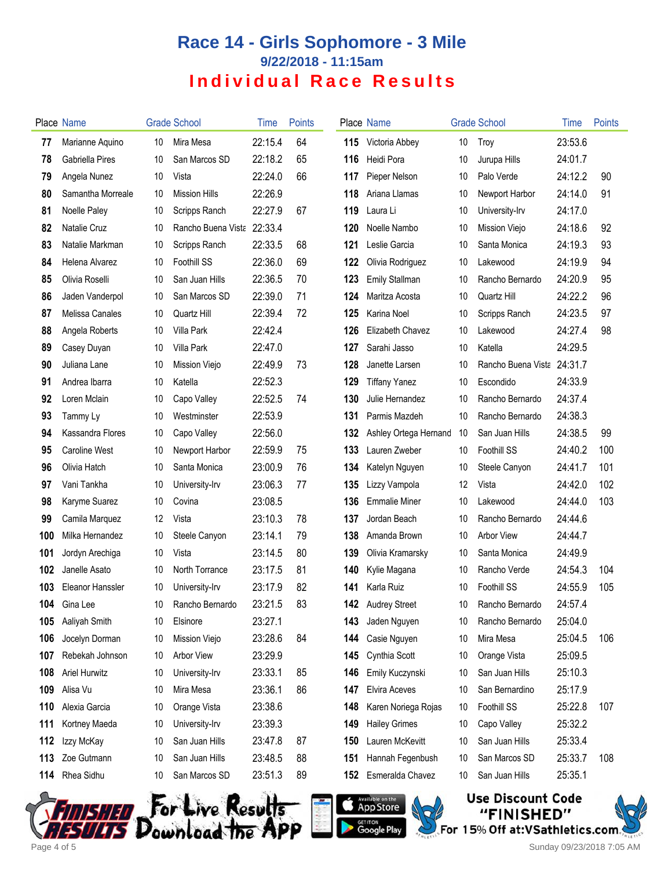# **Race 14 - Girls Sophomore - 3 Mile 9/22/2018 - 11:15am Individual Race Results**

|     | Place Name           |    | <b>Grade School</b>  | Time    | <b>Points</b> |     | Place Name            |    | <b>Grade School</b>  | Time    | Points |
|-----|----------------------|----|----------------------|---------|---------------|-----|-----------------------|----|----------------------|---------|--------|
| 77  | Marianne Aquino      | 10 | Mira Mesa            | 22:15.4 | 64            | 115 | Victoria Abbey        | 10 | Troy                 | 23:53.6 |        |
| 78  | Gabriella Pires      | 10 | San Marcos SD        | 22:18.2 | 65            | 116 | Heidi Pora            | 10 | Jurupa Hills         | 24:01.7 |        |
| 79  | Angela Nunez         | 10 | Vista                | 22:24.0 | 66            | 117 | Pieper Nelson         | 10 | Palo Verde           | 24:12.2 | 90     |
| 80  | Samantha Morreale    | 10 | <b>Mission Hills</b> | 22:26.9 |               | 118 | Ariana Llamas         | 10 | Newport Harbor       | 24:14.0 | 91     |
| 81  | Noelle Paley         | 10 | Scripps Ranch        | 22:27.9 | 67            | 119 | Laura Li              | 10 | University-Irv       | 24:17.0 |        |
| 82  | Natalie Cruz         | 10 | Rancho Buena Vista   | 22:33.4 |               | 120 | Noelle Nambo          | 10 | <b>Mission Viejo</b> | 24:18.6 | 92     |
| 83  | Natalie Markman      | 10 | Scripps Ranch        | 22:33.5 | 68            | 121 | Leslie Garcia         | 10 | Santa Monica         | 24:19.3 | 93     |
| 84  | Helena Alvarez       | 10 | Foothill SS          | 22:36.0 | 69            | 122 | Olivia Rodriguez      | 10 | Lakewood             | 24:19.9 | 94     |
| 85  | Olivia Roselli       | 10 | San Juan Hills       | 22:36.5 | 70            | 123 | <b>Emily Stallman</b> | 10 | Rancho Bernardo      | 24:20.9 | 95     |
| 86  | Jaden Vanderpol      | 10 | San Marcos SD        | 22:39.0 | 71            | 124 | Maritza Acosta        | 10 | Quartz Hill          | 24:22.2 | 96     |
| 87  | Melissa Canales      | 10 | Quartz Hill          | 22:39.4 | 72            | 125 | Karina Noel           | 10 | Scripps Ranch        | 24:23.5 | 97     |
| 88  | Angela Roberts       | 10 | Villa Park           | 22:42.4 |               | 126 | Elizabeth Chavez      | 10 | Lakewood             | 24:27.4 | 98     |
| 89  | Casey Duyan          | 10 | Villa Park           | 22:47.0 |               | 127 | Sarahi Jasso          | 10 | Katella              | 24:29.5 |        |
| 90  | Juliana Lane         | 10 | <b>Mission Viejo</b> | 22:49.9 | 73            | 128 | Janette Larsen        | 10 | Rancho Buena Vista   | 24:31.7 |        |
| 91  | Andrea Ibarra        | 10 | Katella              | 22:52.3 |               | 129 | <b>Tiffany Yanez</b>  | 10 | Escondido            | 24:33.9 |        |
| 92  | Loren Mclain         | 10 | Capo Valley          | 22:52.5 | 74            | 130 | Julie Hernandez       | 10 | Rancho Bernardo      | 24:37.4 |        |
| 93  | Tammy Ly             | 10 | Westminster          | 22:53.9 |               | 131 | Parmis Mazdeh         | 10 | Rancho Bernardo      | 24:38.3 |        |
| 94  | Kassandra Flores     | 10 | Capo Valley          | 22:56.0 |               | 132 | Ashley Ortega Hernand | 10 | San Juan Hills       | 24:38.5 | 99     |
| 95  | Caroline West        | 10 | Newport Harbor       | 22:59.9 | 75            | 133 | Lauren Zweber         | 10 | <b>Foothill SS</b>   | 24:40.2 | 100    |
| 96  | Olivia Hatch         | 10 | Santa Monica         | 23:00.9 | 76            | 134 | Katelyn Nguyen        | 10 | Steele Canyon        | 24:41.7 | 101    |
| 97  | Vani Tankha          | 10 | University-Irv       | 23:06.3 | 77            | 135 | Lizzy Vampola         | 12 | Vista                | 24:42.0 | 102    |
| 98  | Karyme Suarez        | 10 | Covina               | 23:08.5 |               | 136 | <b>Emmalie Miner</b>  | 10 | Lakewood             | 24:44.0 | 103    |
| 99  | Camila Marquez       | 12 | Vista                | 23:10.3 | 78            | 137 | Jordan Beach          | 10 | Rancho Bernardo      | 24:44.6 |        |
| 100 | Milka Hernandez      | 10 | Steele Canyon        | 23:14.1 | 79            | 138 | Amanda Brown          | 10 | <b>Arbor View</b>    | 24:44.7 |        |
| 101 | Jordyn Arechiga      | 10 | Vista                | 23:14.5 | 80            | 139 | Olivia Kramarsky      | 10 | Santa Monica         | 24:49.9 |        |
| 102 | Janelle Asato        | 10 | North Torrance       | 23:17.5 | 81            | 140 | Kylie Magana          | 10 | Rancho Verde         | 24:54.3 | 104    |
| 103 | Eleanor Hanssler     | 10 | University-Irv       | 23:17.9 | 82            | 141 | Karla Ruiz            | 10 | <b>Foothill SS</b>   | 24:55.9 | 105    |
|     | 104 Gina Lee         | 10 | Rancho Bernardo      | 23:21.5 | 83            | 142 | <b>Audrey Street</b>  | 10 | Rancho Bernardo      | 24:57.4 |        |
| 105 | Aaliyah Smith        | 10 | Elsinore             | 23:27.1 |               | 143 | Jaden Nguyen          | 10 | Rancho Bernardo      | 25:04.0 |        |
| 106 | Jocelyn Dorman       | 10 | <b>Mission Viejo</b> | 23:28.6 | 84            | 144 | Casie Nguyen          | 10 | Mira Mesa            | 25:04.5 | 106    |
| 107 | Rebekah Johnson      | 10 | <b>Arbor View</b>    | 23:29.9 |               | 145 | Cynthia Scott         | 10 | Orange Vista         | 25:09.5 |        |
| 108 | <b>Ariel Hurwitz</b> | 10 | University-Irv       | 23:33.1 | 85            | 146 | Emily Kuczynski       | 10 | San Juan Hills       | 25:10.3 |        |
| 109 | Alisa Vu             | 10 | Mira Mesa            | 23:36.1 | 86            | 147 | <b>Elvira Aceves</b>  | 10 | San Bernardino       | 25:17.9 |        |
| 110 | Alexia Garcia        | 10 | Orange Vista         | 23:38.6 |               | 148 | Karen Noriega Rojas   | 10 | Foothill SS          | 25:22.8 | 107    |
| 111 | Kortney Maeda        | 10 | University-Irv       | 23:39.3 |               | 149 | <b>Hailey Grimes</b>  | 10 | Capo Valley          | 25:32.2 |        |
| 112 | Izzy McKay           | 10 | San Juan Hills       | 23:47.8 | 87            | 150 | Lauren McKevitt       | 10 | San Juan Hills       | 25:33.4 |        |
| 113 | Zoe Gutmann          | 10 | San Juan Hills       | 23:48.5 | 88            | 151 | Hannah Fegenbush      | 10 | San Marcos SD        | 25:33.7 | 108    |
| 114 | Rhea Sidhu           | 10 | San Marcos SD        | 23:51.3 | 89            | 152 | Esmeralda Chavez      | 10 | San Juan Hills       | 25:35.1 |        |